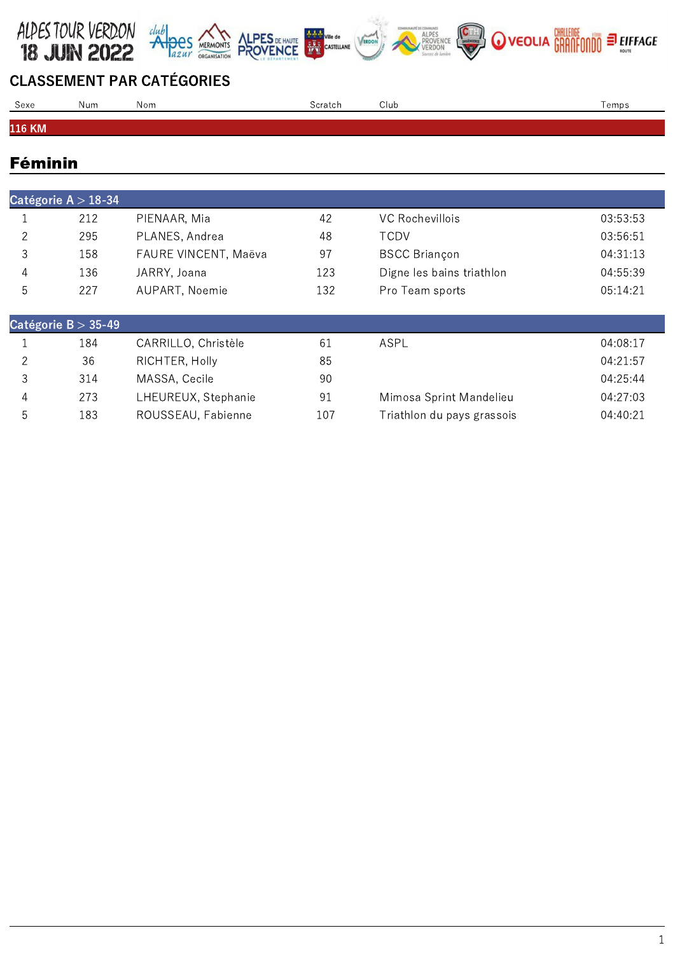



| Sexe   | Num | Nom | Club<br>`cratch | emps |
|--------|-----|-----|-----------------|------|
|        |     |     |                 |      |
| 116 KM |     |     |                 |      |

## Féminin

| Catégorie $A > 18-34$ |     |                      |     |                           |          |  |
|-----------------------|-----|----------------------|-----|---------------------------|----------|--|
|                       | 212 | PIENAAR, Mia         | 42  | <b>VC Rochevillois</b>    | 03:53:53 |  |
| $\mathcal{D}$         | 295 | PLANES, Andrea       | 48  | TCDV                      | 03:56:51 |  |
| 3                     | 158 | FAURE VINCENT, Maëva | 97  | <b>BSCC Briançon</b>      | 04:31:13 |  |
| 4                     | 136 | JARRY, Joana         | 123 | Digne les bains triathlon | 04:55:39 |  |
| 5                     | 227 | AUPART, Noemie       | 132 | Pro Team sports           | 05:14:21 |  |
|                       |     |                      |     |                           |          |  |
| Catégorie $B > 35-49$ |     |                      |     |                           |          |  |

|   | 184 | CARRILLO, Christèle | 61  | ASPL                       | 04:08:17 |
|---|-----|---------------------|-----|----------------------------|----------|
|   | 36  | RICHTER, Holly      | 85  |                            | 04:21:57 |
|   | 314 | MASSA, Cecile       | 90  |                            | 04:25:44 |
|   | 273 | LHEUREUX, Stephanie | 91  | Mimosa Sprint Mandelieu    | 04:27:03 |
| h | 183 | ROUSSEAU, Fabienne  | 107 | Triathlon du pays grassois | 04:40:21 |
|   |     |                     |     |                            |          |